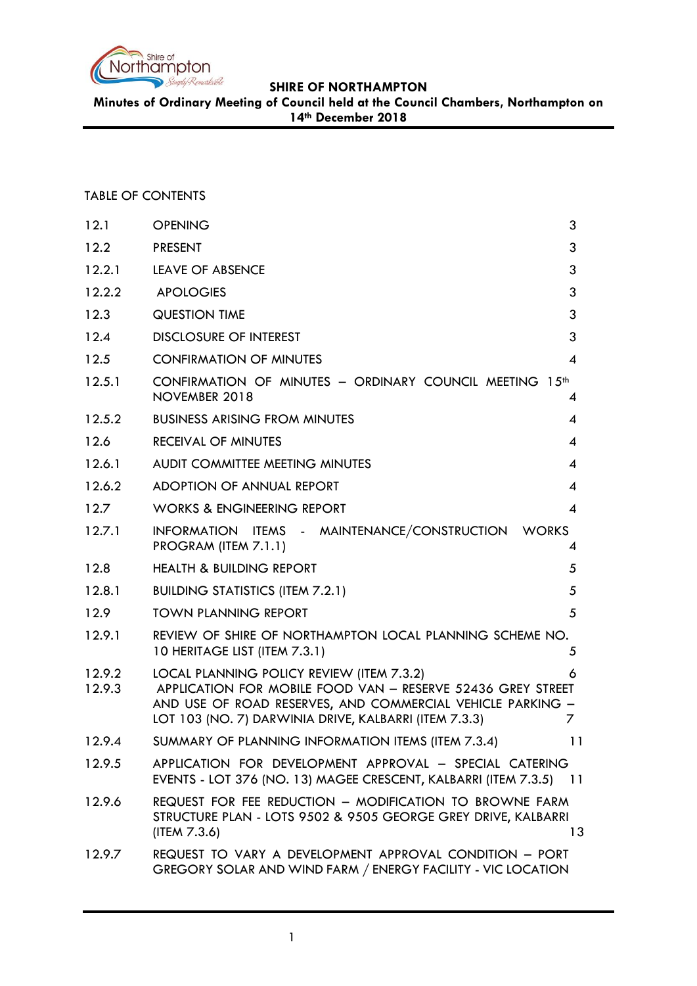

**Minutes of Ordinary Meeting of Council held at the Council Chambers, Northampton on 14th December 2018**

# TABLE OF CONTENTS

| 12.1             | <b>OPENING</b>                                                                                                                                                                                                                  | 3                        |
|------------------|---------------------------------------------------------------------------------------------------------------------------------------------------------------------------------------------------------------------------------|--------------------------|
| 12.2             | <b>PRESENT</b>                                                                                                                                                                                                                  | 3                        |
| 12.2.1           | <b>LEAVE OF ABSENCE</b>                                                                                                                                                                                                         | 3                        |
| 12.2.2           | <b>APOLOGIES</b>                                                                                                                                                                                                                | 3                        |
| 12.3             | <b>QUESTION TIME</b>                                                                                                                                                                                                            | 3                        |
| 12.4             | <b>DISCLOSURE OF INTEREST</b>                                                                                                                                                                                                   | 3                        |
| 12.5             | <b>CONFIRMATION OF MINUTES</b>                                                                                                                                                                                                  | 4                        |
| 12.5.1           | CONFIRMATION OF MINUTES - ORDINARY COUNCIL MEETING 15th<br>NOVEMBER 2018                                                                                                                                                        | $\overline{4}$           |
| 12.5.2           | <b>BUSINESS ARISING FROM MINUTES</b>                                                                                                                                                                                            | 4                        |
| 12.6             | <b>RECEIVAL OF MINUTES</b>                                                                                                                                                                                                      | 4                        |
| 12.6.1           | AUDIT COMMITTEE MEETING MINUTES                                                                                                                                                                                                 | 4                        |
| 12.6.2           | ADOPTION OF ANNUAL REPORT                                                                                                                                                                                                       | 4                        |
| 12.7             | <b>WORKS &amp; ENGINEERING REPORT</b>                                                                                                                                                                                           | $\overline{\mathcal{A}}$ |
| 12.7.1           | INFORMATION ITEMS - MAINTENANCE/CONSTRUCTION WORKS<br>PROGRAM (ITEM 7.1.1)                                                                                                                                                      | 4                        |
| 12.8             | <b>HEALTH &amp; BUILDING REPORT</b>                                                                                                                                                                                             | 5                        |
| 12.8.1           | <b>BUILDING STATISTICS (ITEM 7.2.1)</b>                                                                                                                                                                                         | 5                        |
| 12.9             | <b>TOWN PLANNING REPORT</b>                                                                                                                                                                                                     | 5                        |
| 12.9.1           | REVIEW OF SHIRE OF NORTHAMPTON LOCAL PLANNING SCHEME NO.<br>10 HERITAGE LIST (ITEM 7.3.1)                                                                                                                                       | 5                        |
| 12.9.2<br>12.9.3 | LOCAL PLANNING POLICY REVIEW (ITEM 7.3.2)<br>APPLICATION FOR MOBILE FOOD VAN - RESERVE 52436 GREY STREET<br>AND USE OF ROAD RESERVES, AND COMMERCIAL VEHICLE PARKING -<br>LOT 103 (NO. 7) DARWINIA DRIVE, KALBARRI (ITEM 7.3.3) | 6<br>7                   |
| 12.9.4           | SUMMARY OF PLANNING INFORMATION ITEMS (ITEM 7.3.4)                                                                                                                                                                              | 11                       |
| 12.9.5           | APPLICATION FOR DEVELOPMENT APPROVAL - SPECIAL CATERING<br>EVENTS - LOT 376 (NO. 13) MAGEE CRESCENT, KALBARRI (ITEM 7.3.5) 11                                                                                                   |                          |
| 12.9.6           | REQUEST FOR FEE REDUCTION - MODIFICATION TO BROWNE FARM<br>STRUCTURE PLAN - LOTS 9502 & 9505 GEORGE GREY DRIVE, KALBARRI<br>(ITERM 7.3.6)                                                                                       | 13                       |
| 12.9.7           | REQUEST TO VARY A DEVELOPMENT APPROVAL CONDITION - PORT<br>GREGORY SOLAR AND WIND FARM / ENERGY FACILITY - VIC LOCATION                                                                                                         |                          |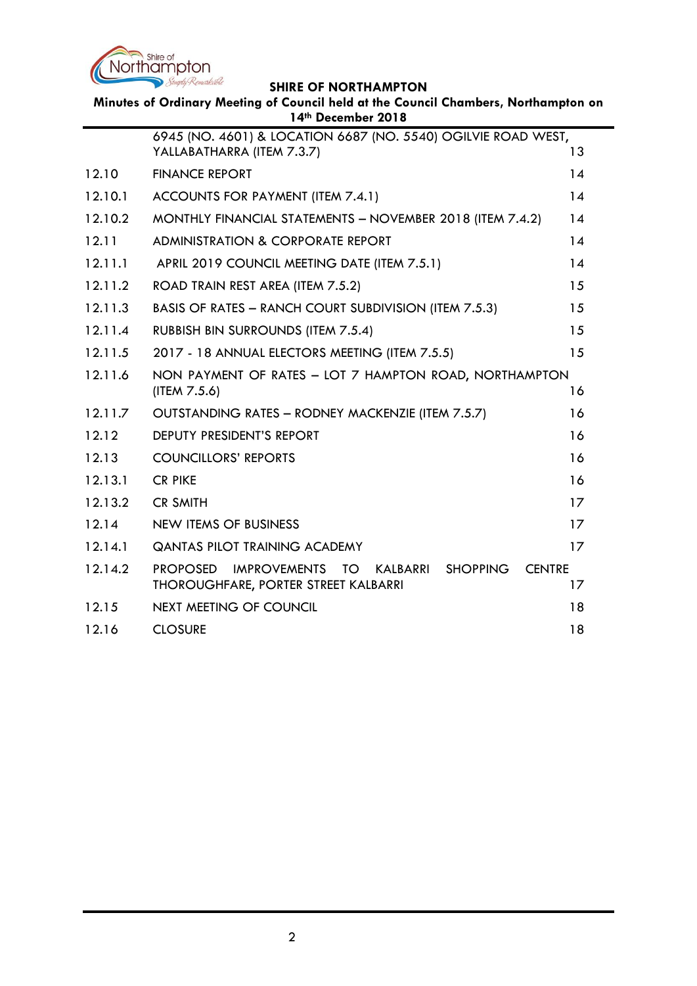

**Minutes of Ordinary Meeting of Council held at the Council Chambers, Northampton on 14th December 2018**

|         | 6945 (NO. 4601) & LOCATION 6687 (NO. 5540) OGILVIE ROAD WEST,<br>YALLABATHARRA (ITEM 7.3.7)                                          | 13 |  |  |  |
|---------|--------------------------------------------------------------------------------------------------------------------------------------|----|--|--|--|
| 12.10   | <b>FINANCE REPORT</b>                                                                                                                |    |  |  |  |
| 12.10.1 | ACCOUNTS FOR PAYMENT (ITEM 7.4.1)                                                                                                    |    |  |  |  |
| 12.10.2 | MONTHLY FINANCIAL STATEMENTS - NOVEMBER 2018 (ITEM 7.4.2)                                                                            |    |  |  |  |
| 12.11   | <b>ADMINISTRATION &amp; CORPORATE REPORT</b>                                                                                         |    |  |  |  |
| 12.11.1 | APRIL 2019 COUNCIL MEETING DATE (ITEM 7.5.1)                                                                                         |    |  |  |  |
| 12.11.2 | ROAD TRAIN REST AREA (ITEM 7.5.2)<br>15                                                                                              |    |  |  |  |
| 12.11.3 | BASIS OF RATES - RANCH COURT SUBDIVISION (ITEM 7.5.3)<br>15                                                                          |    |  |  |  |
| 12.11.4 | <b>RUBBISH BIN SURROUNDS (ITEM 7.5.4)</b><br>15                                                                                      |    |  |  |  |
| 12.11.5 | 15<br>2017 - 18 ANNUAL ELECTORS MEETING (ITEM 7.5.5)                                                                                 |    |  |  |  |
| 12.11.6 | NON PAYMENT OF RATES - LOT 7 HAMPTON ROAD, NORTHAMPTON<br>(ITEM 7.5.6)<br>16                                                         |    |  |  |  |
| 12.11.7 | OUTSTANDING RATES - RODNEY MACKENZIE (ITEM 7.5.7)<br>16                                                                              |    |  |  |  |
| 12.12   | DEPUTY PRESIDENT'S REPORT<br>16                                                                                                      |    |  |  |  |
| 12.13   | <b>COUNCILLORS' REPORTS</b><br>16                                                                                                    |    |  |  |  |
| 12.13.1 | <b>CR PIKE</b><br>16                                                                                                                 |    |  |  |  |
| 12.13.2 | <b>CR SMITH</b><br>17                                                                                                                |    |  |  |  |
| 12.14   | <b>NEW ITEMS OF BUSINESS</b><br>17                                                                                                   |    |  |  |  |
| 12.14.1 | <b>QANTAS PILOT TRAINING ACADEMY</b><br>17                                                                                           |    |  |  |  |
| 12.14.2 | <b>SHOPPING</b><br><b>CENTRE</b><br><b>PROPOSED</b><br><b>IMPROVEMENTS</b><br>TO<br>KALBARRI<br>THOROUGHFARE, PORTER STREET KALBARRI | 17 |  |  |  |
| 12.15   | <b>NEXT MEETING OF COUNCIL</b>                                                                                                       | 18 |  |  |  |
| 12.16   | <b>CLOSURE</b><br>18                                                                                                                 |    |  |  |  |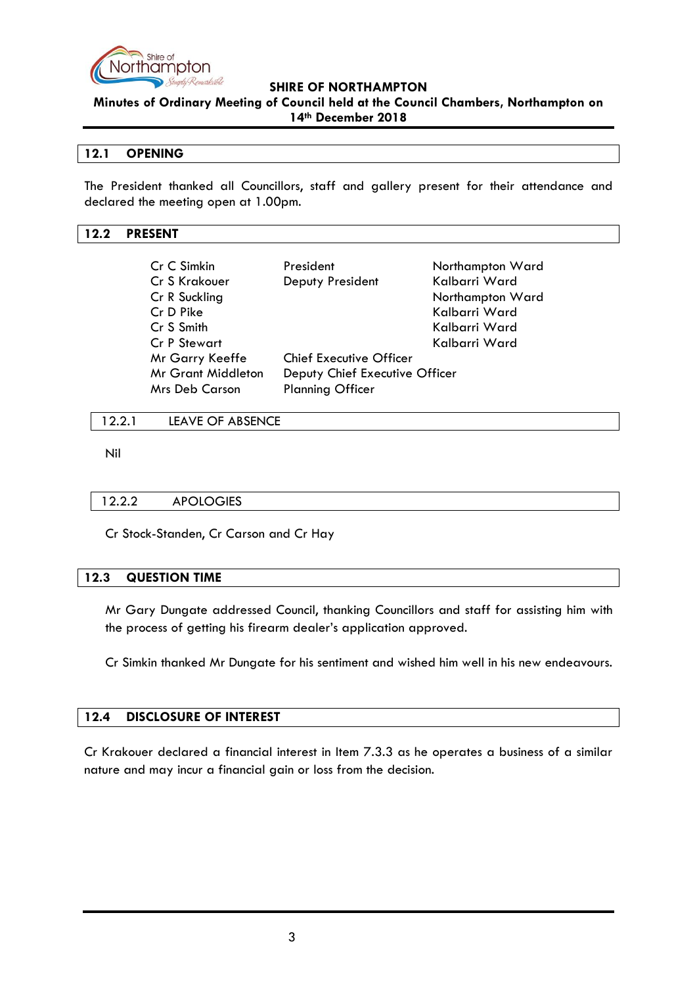

**Minutes of Ordinary Meeting of Council held at the Council Chambers, Northampton on 14th December 2018**

### <span id="page-2-0"></span>**12.1 OPENING**

The President thanked all Councillors, staff and gallery present for their attendance and declared the meeting open at 1.00pm.

#### <span id="page-2-1"></span>**12.2 PRESENT**

| Cr C Simkin<br>Cr S Krakouer<br>Cr R Suckling<br>Cr D Pike<br>Cr S Smith<br>Cr P Stewart | President<br>Deputy President  | Northampton Ward<br>Kalbarri Ward<br>Northampton Ward<br>Kalbarri Ward<br>Kalbarri Ward<br>Kalbarri Ward |  |  |
|------------------------------------------------------------------------------------------|--------------------------------|----------------------------------------------------------------------------------------------------------|--|--|
| Mr Garry Keeffe                                                                          | <b>Chief Executive Officer</b> |                                                                                                          |  |  |
| <b>Mr Grant Middleton</b>                                                                | Deputy Chief Executive Officer |                                                                                                          |  |  |
| <b>Mrs Deb Carson</b>                                                                    | <b>Planning Officer</b>        |                                                                                                          |  |  |

#### <span id="page-2-2"></span>12.2.1 LEAVE OF ABSENCE

Nil

#### <span id="page-2-3"></span>12.2.2 APOLOGIES

Cr Stock-Standen, Cr Carson and Cr Hay

#### <span id="page-2-4"></span>**12.3 QUESTION TIME**

Mr Gary Dungate addressed Council, thanking Councillors and staff for assisting him with the process of getting his firearm dealer's application approved.

Cr Simkin thanked Mr Dungate for his sentiment and wished him well in his new endeavours.

## <span id="page-2-5"></span>**12.4 DISCLOSURE OF INTEREST**

Cr Krakouer declared a financial interest in Item 7.3.3 as he operates a business of a similar nature and may incur a financial gain or loss from the decision.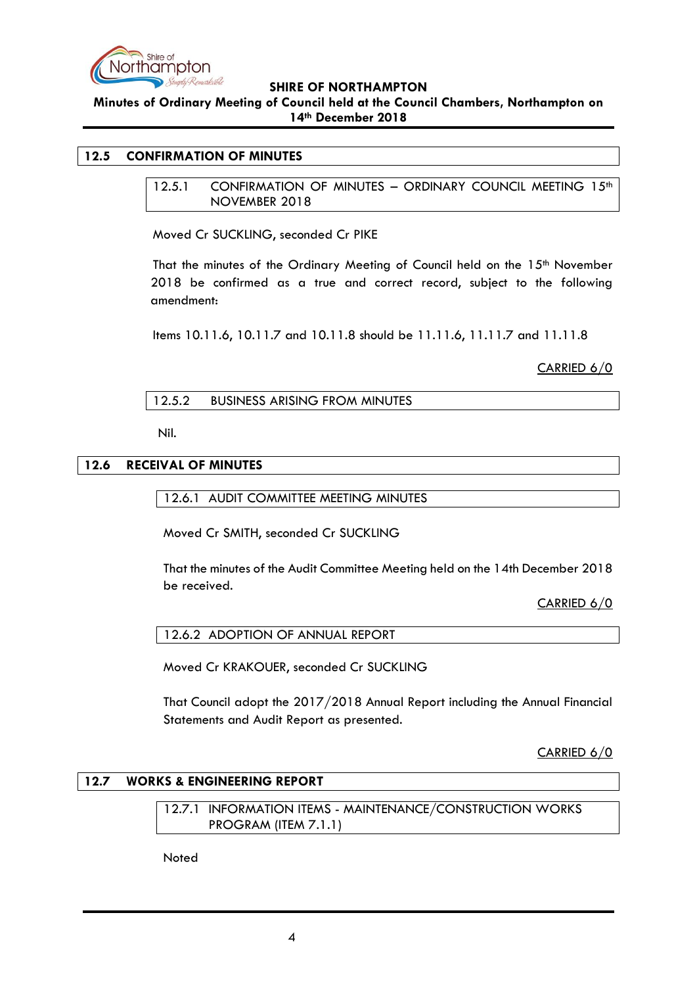

**Minutes of Ordinary Meeting of Council held at the Council Chambers, Northampton on 14th December 2018**

#### <span id="page-3-1"></span><span id="page-3-0"></span>**12.5 CONFIRMATION OF MINUTES**

12.5.1 CONFIRMATION OF MINUTES - ORDINARY COUNCIL MEETING 15<sup>th</sup> NOVEMBER 2018

Moved Cr SUCKLING, seconded Cr PIKE

That the minutes of the Ordinary Meeting of Council held on the 15<sup>th</sup> November 2018 be confirmed as a true and correct record, subject to the following amendment:

Items 10.11.6, 10.11.7 and 10.11.8 should be 11.11.6, 11.11.7 and 11.11.8

CARRIED 6/0

### 12.5.2 BUSINESS ARISING FROM MINUTES

Nil.

### <span id="page-3-4"></span><span id="page-3-3"></span><span id="page-3-2"></span>**12.6 RECEIVAL OF MINUTES**

12.6.1 AUDIT COMMITTEE MEETING MINUTES

Moved Cr SMITH, seconded Cr SUCKLING

That the minutes of the Audit Committee Meeting held on the 14th December 2018 be received.

CARRIED 6/0

<span id="page-3-5"></span>12.6.2 ADOPTION OF ANNUAL REPORT

Moved Cr KRAKOUER, seconded Cr SUCKLING

That Council adopt the 2017/2018 Annual Report including the Annual Financial Statements and Audit Report as presented.

CARRIED 6/0

# <span id="page-3-7"></span><span id="page-3-6"></span>**12.7 WORKS & ENGINEERING REPORT**

12.7.1 INFORMATION ITEMS - MAINTENANCE/CONSTRUCTION WORKS PROGRAM (ITEM 7.1.1)

Noted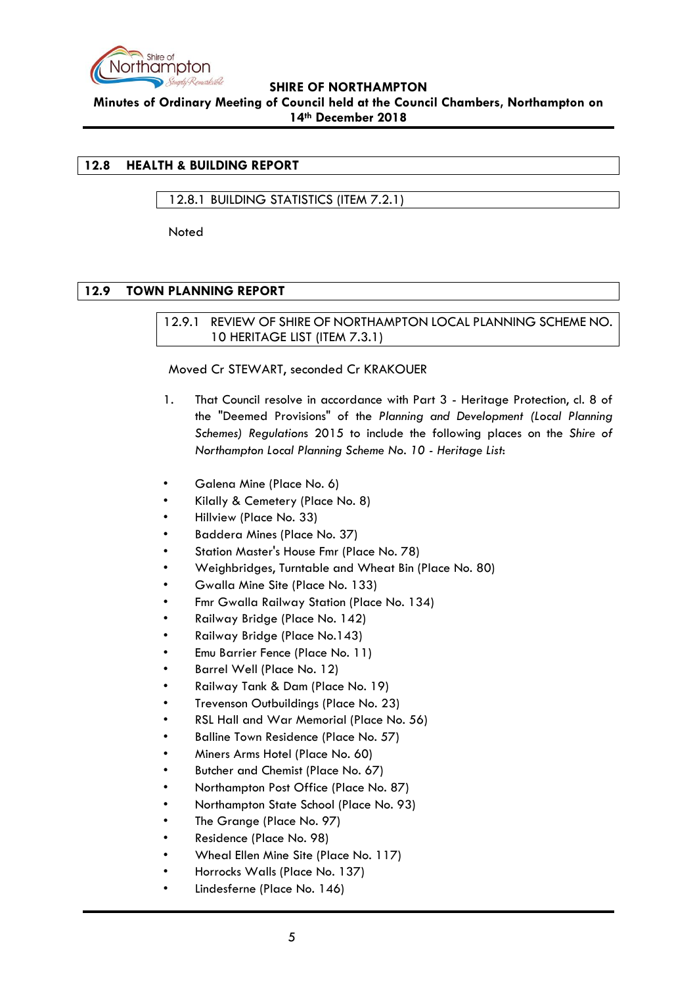

**Minutes of Ordinary Meeting of Council held at the Council Chambers, Northampton on 14th December 2018**

### <span id="page-4-0"></span>**12.8 HEALTH & BUILDING REPORT**

### <span id="page-4-1"></span>12.8.1 BUILDING STATISTICS (ITEM 7.2.1)

Noted

### <span id="page-4-3"></span><span id="page-4-2"></span>**12.9 TOWN PLANNING REPORT**

### 12.9.1 REVIEW OF SHIRE OF NORTHAMPTON LOCAL PLANNING SCHEME NO. 10 HERITAGE LIST (ITEM 7.3.1)

#### Moved Cr STEWART, seconded Cr KRAKOUER

- 1. That Council resolve in accordance with Part 3 Heritage Protection, cl. 8 of the "Deemed Provisions" of the *Planning and Development (Local Planning Schemes) Regulation*s 2015 to include the following places on the *Shire of Northampton Local Planning Scheme No. 10 - Heritage List*:
- Galena Mine (Place No. 6)
- Kilally & Cemetery (Place No. 8)
- Hillview (Place No. 33)
- Baddera Mines (Place No. 37)
- Station Master's House Fmr (Place No. 78)
- Weighbridges, Turntable and Wheat Bin (Place No. 80)
- Gwalla Mine Site (Place No. 133)
- Fmr Gwalla Railway Station (Place No. 134)
- Railway Bridge (Place No. 142)
- Railway Bridge (Place No.143)
- Emu Barrier Fence (Place No. 11)
- Barrel Well (Place No. 12)
- Railway Tank & Dam (Place No. 19)
- Trevenson Outbuildings (Place No. 23)
- RSL Hall and War Memorial (Place No. 56)
- Balline Town Residence (Place No. 57)
- Miners Arms Hotel (Place No. 60)
- Butcher and Chemist (Place No. 67)
- Northampton Post Office (Place No. 87)
- Northampton State School (Place No. 93)
- The Grange (Place No. 97)
- Residence (Place No. 98)
- Wheal Ellen Mine Site (Place No. 117)
- Horrocks Walls (Place No. 137)
- Lindesferne (Place No. 146)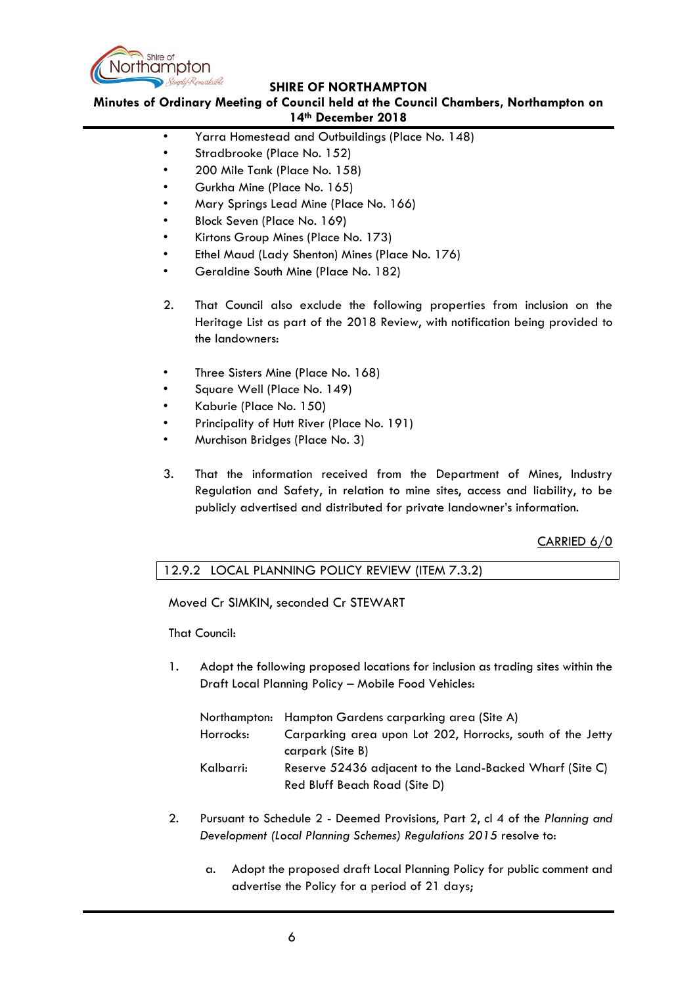

**Minutes of Ordinary Meeting of Council held at the Council Chambers, Northampton on 14th December 2018**

- Yarra Homestead and Outbuildings (Place No. 148)
- Stradbrooke (Place No. 152)
- 200 Mile Tank (Place No. 158)
- Gurkha Mine (Place No. 165)
- Mary Springs Lead Mine (Place No. 166)
- Block Seven (Place No. 169)
- Kirtons Group Mines (Place No. 173)
- Ethel Maud (Lady Shenton) Mines (Place No. 176)
- Geraldine South Mine (Place No. 182)
- 2. That Council also exclude the following properties from inclusion on the Heritage List as part of the 2018 Review, with notification being provided to the landowners:
- Three Sisters Mine (Place No. 168)
- Square Well (Place No. 149)
- Kaburie (Place No. 150)
- Principality of Hutt River (Place No. 191)
- Murchison Bridges (Place No. 3)
- 3. That the information received from the Department of Mines, Industry Regulation and Safety, in relation to mine sites, access and liability, to be publicly advertised and distributed for private landowner's information.

## CARRIED 6/0

## <span id="page-5-0"></span>12.9.2 LOCAL PLANNING POLICY REVIEW (ITEM 7.3.2)

Moved Cr SIMKIN, seconded Cr STEWART

That Council:

1. Adopt the following proposed locations for inclusion as trading sites within the Draft Local Planning Policy – Mobile Food Vehicles:

|           | Northampton: Hampton Gardens carparking area (Site A)      |
|-----------|------------------------------------------------------------|
| Horrocks: | Carparking area upon Lot 202, Horrocks, south of the Jetty |
|           | carpark (Site B)                                           |
| Kalbarri: | Reserve 52436 adjacent to the Land-Backed Wharf (Site C)   |
|           | Red Bluff Beach Road (Site D)                              |

- 2. Pursuant to Schedule 2 Deemed Provisions, Part 2, cl 4 of the *Planning and Development (Local Planning Schemes) Regulations 2015* resolve to:
	- a. Adopt the proposed draft Local Planning Policy for public comment and advertise the Policy for a period of 21 days;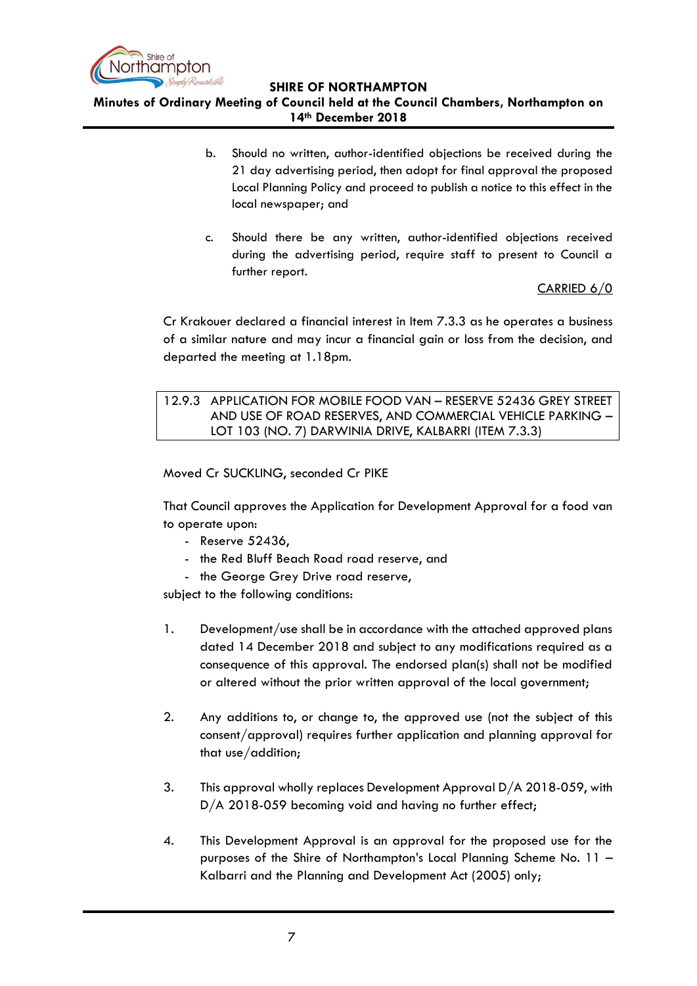

**Minutes of Ordinary Meeting of Council held at the Council Chambers, Northampton on 14th December 2018**

- b. Should no written, author-identified objections be received during the 21 day advertising period, then adopt for final approval the proposed Local Planning Policy and proceed to publish a notice to this effect in the local newspaper; and
- c. Should there be any written, author-identified objections received during the advertising period, require staff to present to Council a further report.

CARRIED 6/0

Cr Krakouer declared a financial interest in Item 7.3.3 as he operates a business of a similar nature and may incur a financial gain or loss from the decision, and departed the meeting at 1.18pm.

<span id="page-6-0"></span>12.9.3 APPLICATION FOR MOBILE FOOD VAN – RESERVE 52436 GREY STREET AND USE OF ROAD RESERVES, AND COMMERCIAL VEHICLE PARKING – LOT 103 (NO. 7) DARWINIA DRIVE, KALBARRI (ITEM 7.3.3)

Moved Cr SUCKLING, seconded Cr PIKE

That Council approves the Application for Development Approval for a food van to operate upon:

- Reserve 52436,
- the Red Bluff Beach Road road reserve, and
- the George Grey Drive road reserve,

subject to the following conditions:

- 1. Development/use shall be in accordance with the attached approved plans dated 14 December 2018 and subject to any modifications required as a consequence of this approval. The endorsed plan(s) shall not be modified or altered without the prior written approval of the local government;
- 2. Any additions to, or change to, the approved use (not the subject of this consent/approval) requires further application and planning approval for that use/addition;
- 3. This approval wholly replaces Development Approval D/A 2018-059, with D/A 2018-059 becoming void and having no further effect;
- 4. This Development Approval is an approval for the proposed use for the purposes of the Shire of Northampton's Local Planning Scheme No. 11 – Kalbarri and the Planning and Development Act (2005) only;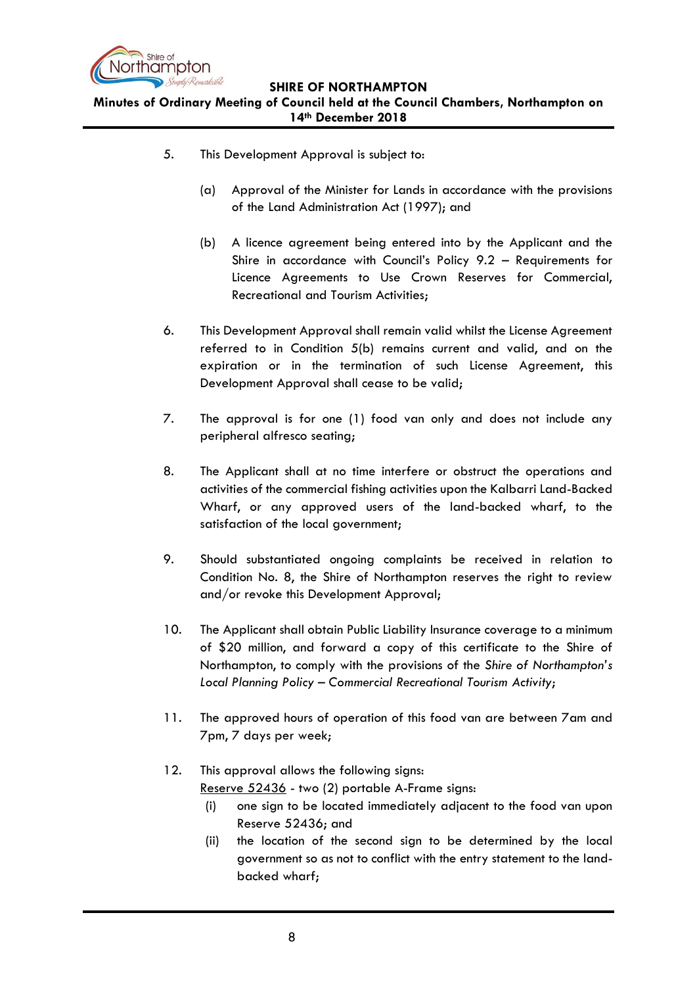

**Minutes of Ordinary Meeting of Council held at the Council Chambers, Northampton on 14th December 2018**

- 5. This Development Approval is subject to:
	- (a) Approval of the Minister for Lands in accordance with the provisions of the Land Administration Act (1997); and
	- (b) A licence agreement being entered into by the Applicant and the Shire in accordance with Council's Policy 9.2 – Requirements for Licence Agreements to Use Crown Reserves for Commercial, Recreational and Tourism Activities;
- 6. This Development Approval shall remain valid whilst the License Agreement referred to in Condition 5(b) remains current and valid, and on the expiration or in the termination of such License Agreement, this Development Approval shall cease to be valid;
- 7. The approval is for one (1) food van only and does not include any peripheral alfresco seating;
- 8. The Applicant shall at no time interfere or obstruct the operations and activities of the commercial fishing activities upon the Kalbarri Land-Backed Wharf, or any approved users of the land-backed wharf, to the satisfaction of the local government;
- 9. Should substantiated ongoing complaints be received in relation to Condition No. 8, the Shire of Northampton reserves the right to review and/or revoke this Development Approval;
- 10. The Applicant shall obtain Public Liability Insurance coverage to a minimum of \$20 million, and forward a copy of this certificate to the Shire of Northampton, to comply with the provisions of the *Shire of Northampton's Local Planning Policy – Commercial Recreational Tourism Activity*;
- 11. The approved hours of operation of this food van are between 7am and 7pm, 7 days per week;
- 12. This approval allows the following signs: Reserve 52436 - two (2) portable A-Frame signs:
	- (i) one sign to be located immediately adjacent to the food van upon Reserve 52436; and
	- (ii) the location of the second sign to be determined by the local government so as not to conflict with the entry statement to the landbacked wharf;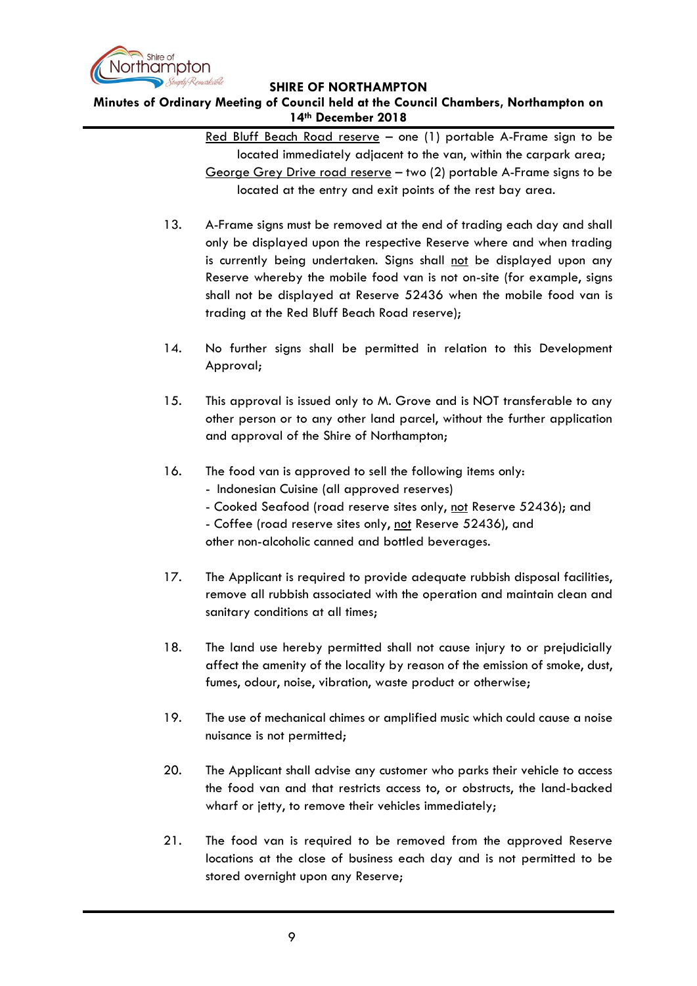

**Minutes of Ordinary Meeting of Council held at the Council Chambers, Northampton on 14th December 2018**

> Red Bluff Beach Road reserve - one (1) portable A-Frame sign to be located immediately adjacent to the van, within the carpark area; George Grey Drive road reserve – two (2) portable A-Frame signs to be located at the entry and exit points of the rest bay area.

- 13. A-Frame signs must be removed at the end of trading each day and shall only be displayed upon the respective Reserve where and when trading is currently being undertaken. Signs shall not be displayed upon any Reserve whereby the mobile food van is not on-site (for example, signs shall not be displayed at Reserve 52436 when the mobile food van is trading at the Red Bluff Beach Road reserve);
- 14. No further signs shall be permitted in relation to this Development Approval;
- 15. This approval is issued only to M. Grove and is NOT transferable to any other person or to any other land parcel, without the further application and approval of the Shire of Northampton;
- 16. The food van is approved to sell the following items only:
	- Indonesian Cuisine (all approved reserves)
	- Cooked Seafood (road reserve sites only, not Reserve 52436); and
	- Coffee (road reserve sites only, not Reserve 52436), and other non-alcoholic canned and bottled beverages.
- 17. The Applicant is required to provide adequate rubbish disposal facilities, remove all rubbish associated with the operation and maintain clean and sanitary conditions at all times;
- 18. The land use hereby permitted shall not cause injury to or prejudicially affect the amenity of the locality by reason of the emission of smoke, dust, fumes, odour, noise, vibration, waste product or otherwise;
- 19. The use of mechanical chimes or amplified music which could cause a noise nuisance is not permitted;
- 20. The Applicant shall advise any customer who parks their vehicle to access the food van and that restricts access to, or obstructs, the land-backed wharf or jetty, to remove their vehicles immediately;
- 21. The food van is required to be removed from the approved Reserve locations at the close of business each day and is not permitted to be stored overnight upon any Reserve;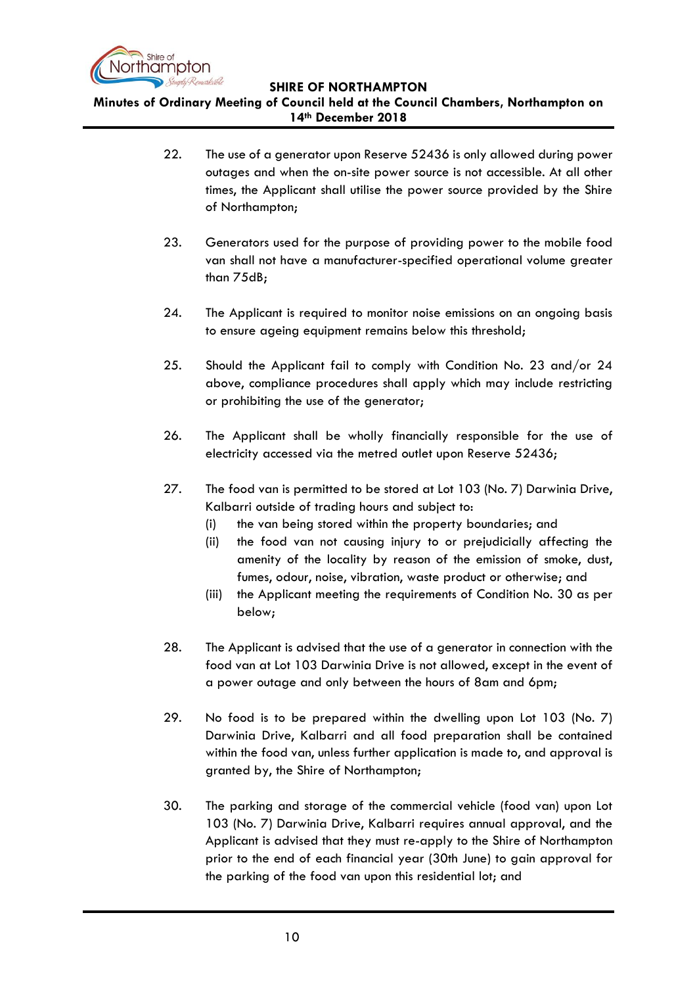

**Minutes of Ordinary Meeting of Council held at the Council Chambers, Northampton on 14th December 2018**

- 22. The use of a generator upon Reserve 52436 is only allowed during power outages and when the on-site power source is not accessible. At all other times, the Applicant shall utilise the power source provided by the Shire of Northampton;
- 23. Generators used for the purpose of providing power to the mobile food van shall not have a manufacturer-specified operational volume greater than 75dB;
- 24. The Applicant is required to monitor noise emissions on an ongoing basis to ensure ageing equipment remains below this threshold;
- 25. Should the Applicant fail to comply with Condition No. 23 and/or 24 above, compliance procedures shall apply which may include restricting or prohibiting the use of the generator;
- 26. The Applicant shall be wholly financially responsible for the use of electricity accessed via the metred outlet upon Reserve 52436;
- 27. The food van is permitted to be stored at Lot 103 (No. 7) Darwinia Drive, Kalbarri outside of trading hours and subject to:
	- (i) the van being stored within the property boundaries; and
	- (ii) the food van not causing injury to or prejudicially affecting the amenity of the locality by reason of the emission of smoke, dust, fumes, odour, noise, vibration, waste product or otherwise; and
	- (iii) the Applicant meeting the requirements of Condition No. 30 as per below;
- 28. The Applicant is advised that the use of a generator in connection with the food van at Lot 103 Darwinia Drive is not allowed, except in the event of a power outage and only between the hours of 8am and 6pm;
- 29. No food is to be prepared within the dwelling upon Lot 103 (No. 7) Darwinia Drive, Kalbarri and all food preparation shall be contained within the food van, unless further application is made to, and approval is granted by, the Shire of Northampton;
- 30. The parking and storage of the commercial vehicle (food van) upon Lot 103 (No. 7) Darwinia Drive, Kalbarri requires annual approval, and the Applicant is advised that they must re-apply to the Shire of Northampton prior to the end of each financial year (30th June) to gain approval for the parking of the food van upon this residential lot; and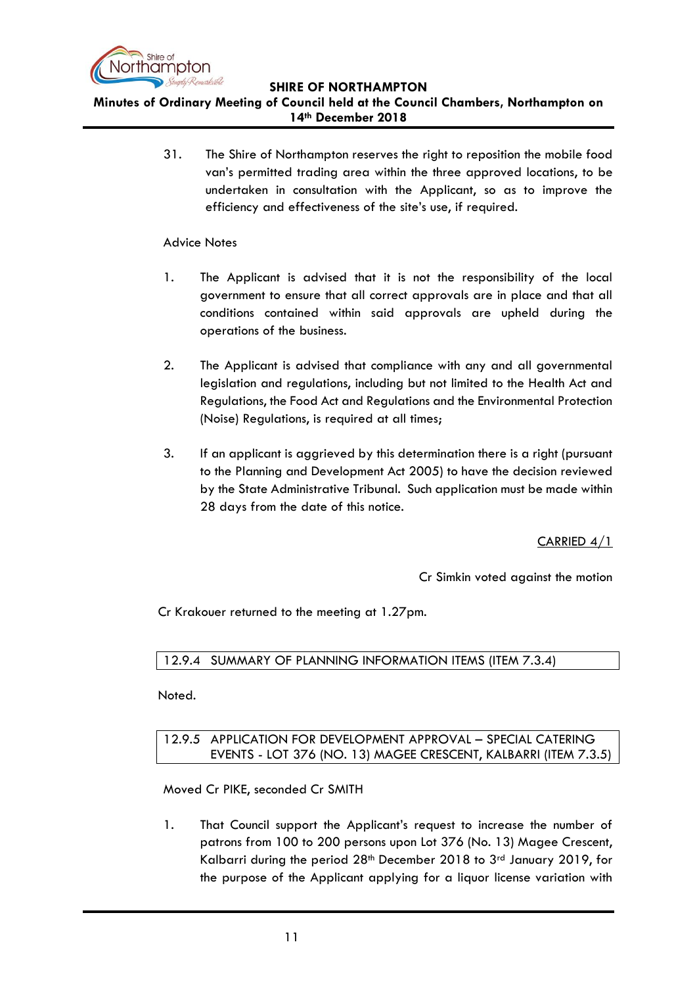

**Minutes of Ordinary Meeting of Council held at the Council Chambers, Northampton on 14th December 2018**

> 31. The Shire of Northampton reserves the right to reposition the mobile food van's permitted trading area within the three approved locations, to be undertaken in consultation with the Applicant, so as to improve the efficiency and effectiveness of the site's use, if required.

### Advice Notes

- 1. The Applicant is advised that it is not the responsibility of the local government to ensure that all correct approvals are in place and that all conditions contained within said approvals are upheld during the operations of the business.
- 2. The Applicant is advised that compliance with any and all governmental legislation and regulations, including but not limited to the Health Act and Regulations, the Food Act and Regulations and the Environmental Protection (Noise) Regulations, is required at all times;
- 3. If an applicant is aggrieved by this determination there is a right (pursuant to the Planning and Development Act 2005) to have the decision reviewed by the State Administrative Tribunal. Such application must be made within 28 days from the date of this notice.

CARRIED 4/1

Cr Simkin voted against the motion

Cr Krakouer returned to the meeting at 1.27pm.

<span id="page-10-0"></span>12.9.4 SUMMARY OF PLANNING INFORMATION ITEMS (ITEM 7.3.4)

<span id="page-10-1"></span>Noted.

# 12.9.5 APPLICATION FOR DEVELOPMENT APPROVAL – SPECIAL CATERING EVENTS - LOT 376 (NO. 13) MAGEE CRESCENT, KALBARRI (ITEM 7.3.5)

Moved Cr PIKE, seconded Cr SMITH

1. That Council support the Applicant's request to increase the number of patrons from 100 to 200 persons upon Lot 376 (No. 13) Magee Crescent, Kalbarri during the period  $28<sup>th</sup>$  December 2018 to  $3<sup>rd</sup>$  January 2019, for the purpose of the Applicant applying for a liquor license variation with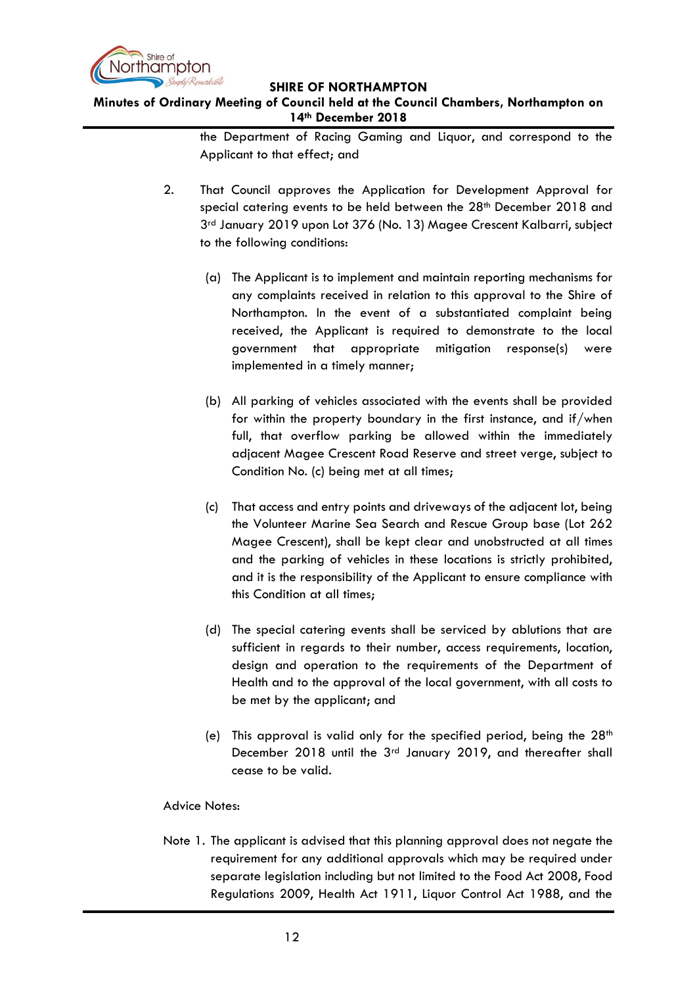

# **Minutes of Ordinary Meeting of Council held at the Council Chambers, Northampton on 14th December 2018**

the Department of Racing Gaming and Liquor, and correspond to the Applicant to that effect; and

- 2. That Council approves the Application for Development Approval for special catering events to be held between the 28<sup>th</sup> December 2018 and 3rd January 2019 upon Lot 376 (No. 13) Magee Crescent Kalbarri, subject to the following conditions:
	- (a) The Applicant is to implement and maintain reporting mechanisms for any complaints received in relation to this approval to the Shire of Northampton. In the event of a substantiated complaint being received, the Applicant is required to demonstrate to the local government that appropriate mitigation response(s) were implemented in a timely manner;
	- (b) All parking of vehicles associated with the events shall be provided for within the property boundary in the first instance, and if/when full, that overflow parking be allowed within the immediately adjacent Magee Crescent Road Reserve and street verge, subject to Condition No. (c) being met at all times;
	- (c) That access and entry points and driveways of the adjacent lot, being the Volunteer Marine Sea Search and Rescue Group base (Lot 262 Magee Crescent), shall be kept clear and unobstructed at all times and the parking of vehicles in these locations is strictly prohibited, and it is the responsibility of the Applicant to ensure compliance with this Condition at all times;
	- (d) The special catering events shall be serviced by ablutions that are sufficient in regards to their number, access requirements, location, design and operation to the requirements of the Department of Health and to the approval of the local government, with all costs to be met by the applicant; and
	- (e) This approval is valid only for the specified period, being the  $28<sup>th</sup>$ December 2018 until the 3rd January 2019, and thereafter shall cease to be valid.

## Advice Notes:

Note 1. The applicant is advised that this planning approval does not negate the requirement for any additional approvals which may be required under separate legislation including but not limited to the Food Act 2008, Food Regulations 2009, Health Act 1911, Liquor Control Act 1988, and the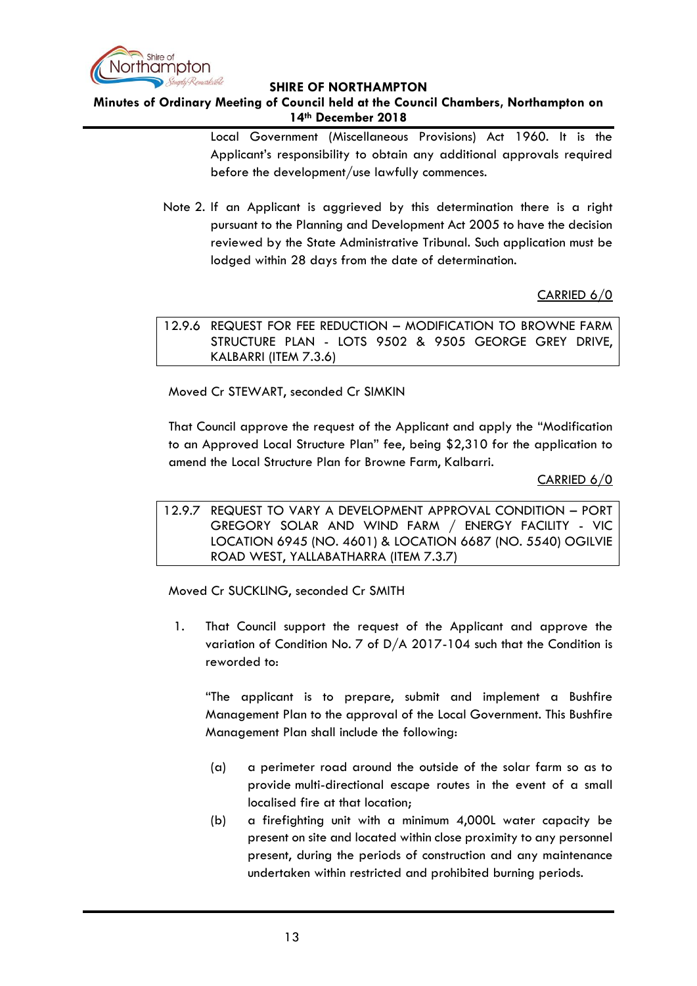

# **Minutes of Ordinary Meeting of Council held at the Council Chambers, Northampton on 14th December 2018**

Local Government (Miscellaneous Provisions) Act 1960. It is the Applicant's responsibility to obtain any additional approvals required before the development/use lawfully commences.

Note 2. If an Applicant is aggrieved by this determination there is a right pursuant to the Planning and Development Act 2005 to have the decision reviewed by the State Administrative Tribunal. Such application must be lodged within 28 days from the date of determination.

# CARRIED 6/0

<span id="page-12-0"></span>12.9.6 REQUEST FOR FEE REDUCTION – MODIFICATION TO BROWNE FARM STRUCTURE PLAN - LOTS 9502 & 9505 GEORGE GREY DRIVE, KALBARRI (ITEM 7.3.6)

Moved Cr STEWART, seconded Cr SIMKIN

That Council approve the request of the Applicant and apply the "Modification to an Approved Local Structure Plan" fee, being \$2,310 for the application to amend the Local Structure Plan for Browne Farm, Kalbarri.

CARRIED 6/0

<span id="page-12-1"></span>12.9.7 REQUEST TO VARY A DEVELOPMENT APPROVAL CONDITION – PORT GREGORY SOLAR AND WIND FARM / ENERGY FACILITY - VIC LOCATION 6945 (NO. 4601) & LOCATION 6687 (NO. 5540) OGILVIE ROAD WEST, YALLABATHARRA (ITEM 7.3.7)

Moved Cr SUCKLING, seconded Cr SMITH

1. That Council support the request of the Applicant and approve the variation of Condition No. 7 of D/A 2017-104 such that the Condition is reworded to:

"The applicant is to prepare, submit and implement a Bushfire Management Plan to the approval of the Local Government. This Bushfire Management Plan shall include the following:

- (a) a perimeter road around the outside of the solar farm so as to provide multi-directional escape routes in the event of a small localised fire at that location;
- (b) a firefighting unit with a minimum 4,000L water capacity be present on site and located within close proximity to any personnel present, during the periods of construction and any maintenance undertaken within restricted and prohibited burning periods.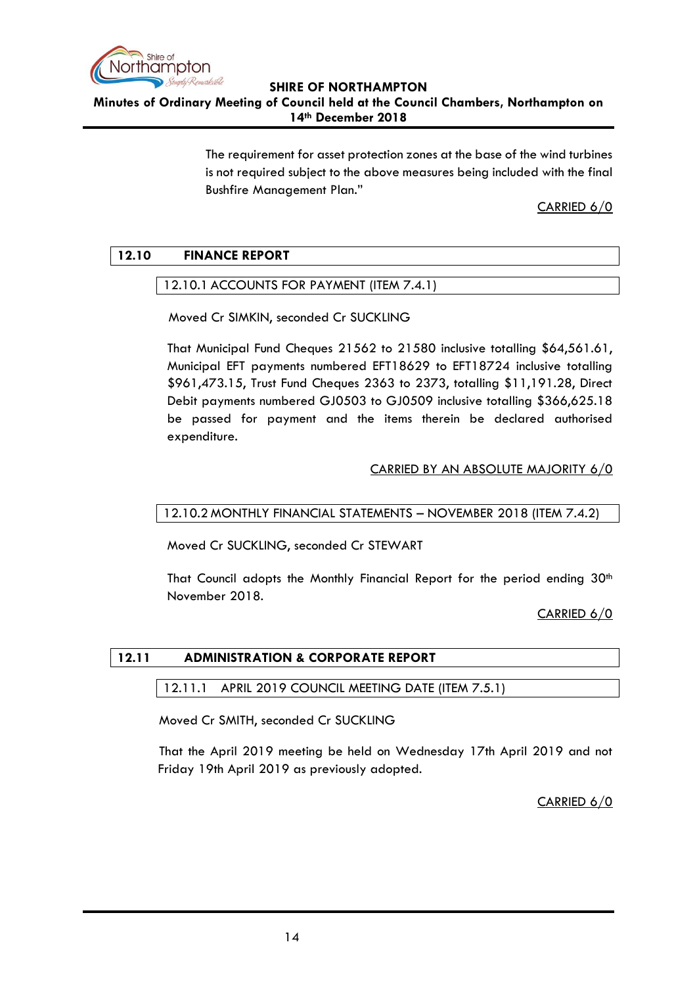

**Minutes of Ordinary Meeting of Council held at the Council Chambers, Northampton on 14th December 2018**

> The requirement for asset protection zones at the base of the wind turbines is not required subject to the above measures being included with the final Bushfire Management Plan."

> > CARRIED 6/0

# <span id="page-13-1"></span><span id="page-13-0"></span>**12.10 FINANCE REPORT**

# 12.10.1 ACCOUNTS FOR PAYMENT (ITEM 7.4.1)

Moved Cr SIMKIN, seconded Cr SUCKLING

That Municipal Fund Cheques 21562 to 21580 inclusive totalling \$64,561.61, Municipal EFT payments numbered EFT18629 to EFT18724 inclusive totalling \$961,473.15, Trust Fund Cheques 2363 to 2373, totalling \$11,191.28, Direct Debit payments numbered GJ0503 to GJ0509 inclusive totalling \$366,625.18 be passed for payment and the items therein be declared authorised expenditure.

# CARRIED BY AN ABSOLUTE MAJORITY 6/0

# <span id="page-13-2"></span>12.10.2 MONTHLY FINANCIAL STATEMENTS – NOVEMBER 2018 (ITEM 7.4.2)

Moved Cr SUCKLING, seconded Cr STEWART

That Council adopts the Monthly Financial Report for the period ending  $30<sup>th</sup>$ November 2018.

CARRIED 6/0

# <span id="page-13-4"></span><span id="page-13-3"></span>**12.11 ADMINISTRATION & CORPORATE REPORT**

## 12.11.1 APRIL 2019 COUNCIL MEETING DATE (ITEM 7.5.1)

Moved Cr SMITH, seconded Cr SUCKLING

That the April 2019 meeting be held on Wednesday 17th April 2019 and not Friday 19th April 2019 as previously adopted.

CARRIED 6/0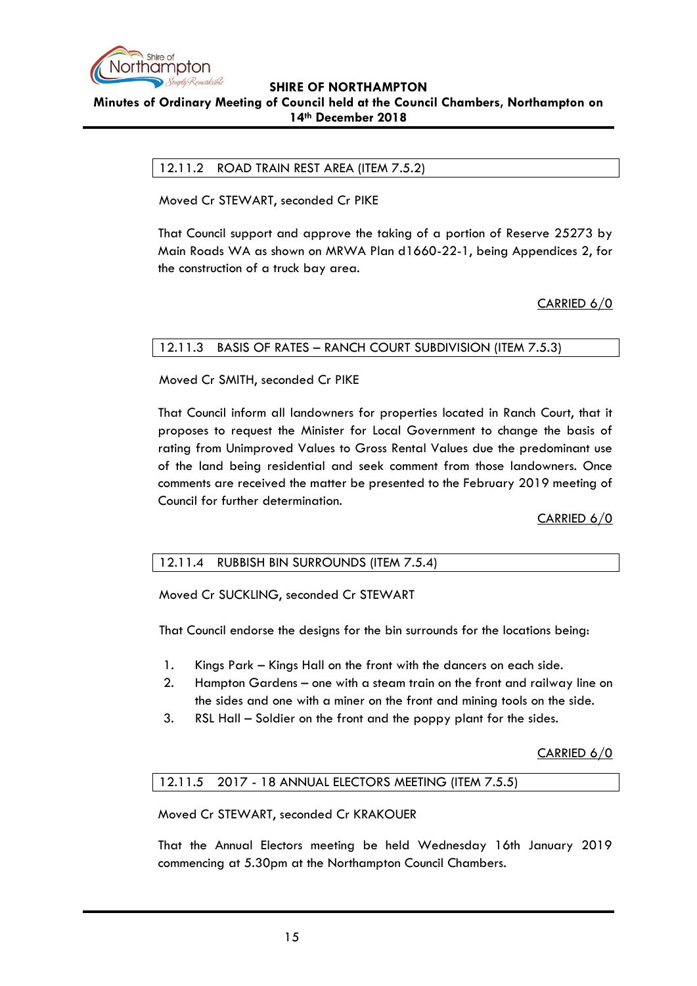

### <span id="page-14-0"></span>**Minutes of Ordinary Meeting of Council held at the Council Chambers, Northampton on 14th December 2018**

### 12.11.2 ROAD TRAIN REST AREA (ITEM 7.5.2)

Moved Cr STEWART, seconded Cr PIKE

That Council support and approve the taking of a portion of Reserve 25273 by Main Roads WA as shown on MRWA Plan d1660-22-1, being Appendices 2, for the construction of a truck bay area.

CARRIED 6/0

### <span id="page-14-1"></span>12.11.3 BASIS OF RATES – RANCH COURT SUBDIVISION (ITEM 7.5.3)

Moved Cr SMITH, seconded Cr PIKE

That Council inform all landowners for properties located in Ranch Court, that it proposes to request the Minister for Local Government to change the basis of rating from Unimproved Values to Gross Rental Values due the predominant use of the land being residential and seek comment from those landowners. Once comments are received the matter be presented to the February 2019 meeting of Council for further determination.

CARRIED 6/0

## <span id="page-14-2"></span>12.11.4 RUBBISH BIN SURROUNDS (ITEM 7.5.4)

Moved Cr SUCKLING, seconded Cr STEWART

That Council endorse the designs for the bin surrounds for the locations being:

- 1. Kings Park Kings Hall on the front with the dancers on each side.
- 2. Hampton Gardens one with a steam train on the front and railway line on the sides and one with a miner on the front and mining tools on the side.
- 3. RSL Hall Soldier on the front and the poppy plant for the sides.

CARRIED 6/0

# <span id="page-14-3"></span>12.11.5 2017 - 18 ANNUAL ELECTORS MEETING (ITEM 7.5.5)

Moved Cr STEWART, seconded Cr KRAKOUER

That the Annual Electors meeting be held Wednesday 16th January 2019 commencing at 5.30pm at the Northampton Council Chambers.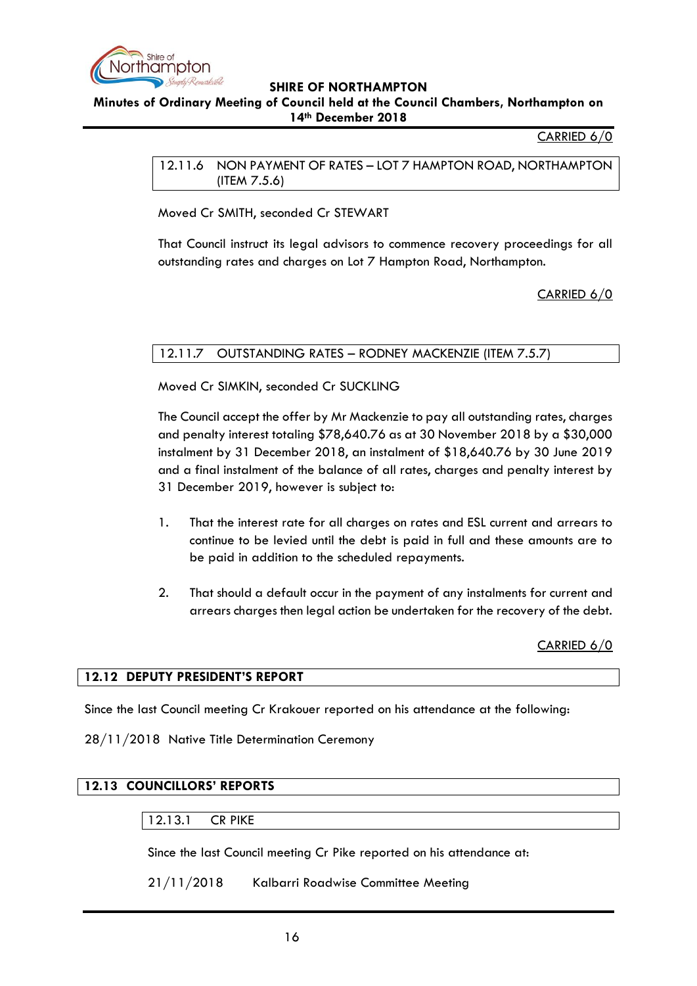

<span id="page-15-0"></span>**Minutes of Ordinary Meeting of Council held at the Council Chambers, Northampton on 14th December 2018**

CARRIED 6/0

12.11.6 NON PAYMENT OF RATES – LOT 7 HAMPTON ROAD, NORTHAMPTON (ITEM 7.5.6)

Moved Cr SMITH, seconded Cr STEWART

That Council instruct its legal advisors to commence recovery proceedings for all outstanding rates and charges on Lot 7 Hampton Road, Northampton.

CARRIED 6/0

# <span id="page-15-1"></span>12.11.7 OUTSTANDING RATES – RODNEY MACKENZIE (ITEM 7.5.7)

Moved Cr SIMKIN, seconded Cr SUCKLING

The Council accept the offer by Mr Mackenzie to pay all outstanding rates, charges and penalty interest totaling \$78,640.76 as at 30 November 2018 by a \$30,000 instalment by 31 December 2018, an instalment of \$18,640.76 by 30 June 2019 and a final instalment of the balance of all rates, charges and penalty interest by 31 December 2019, however is subject to:

- 1. That the interest rate for all charges on rates and ESL current and arrears to continue to be levied until the debt is paid in full and these amounts are to be paid in addition to the scheduled repayments.
- 2. That should a default occur in the payment of any instalments for current and arrears charges then legal action be undertaken for the recovery of the debt.

CARRIED 6/0

## <span id="page-15-2"></span>**12.12 DEPUTY PRESIDENT'S REPORT**

Since the last Council meeting Cr Krakouer reported on his attendance at the following:

28/11/2018 Native Title Determination Ceremony

## <span id="page-15-4"></span><span id="page-15-3"></span>**12.13 COUNCILLORS' REPORTS**

#### 12.13.1 CR PIKE

Since the last Council meeting Cr Pike reported on his attendance at:

21/11/2018 Kalbarri Roadwise Committee Meeting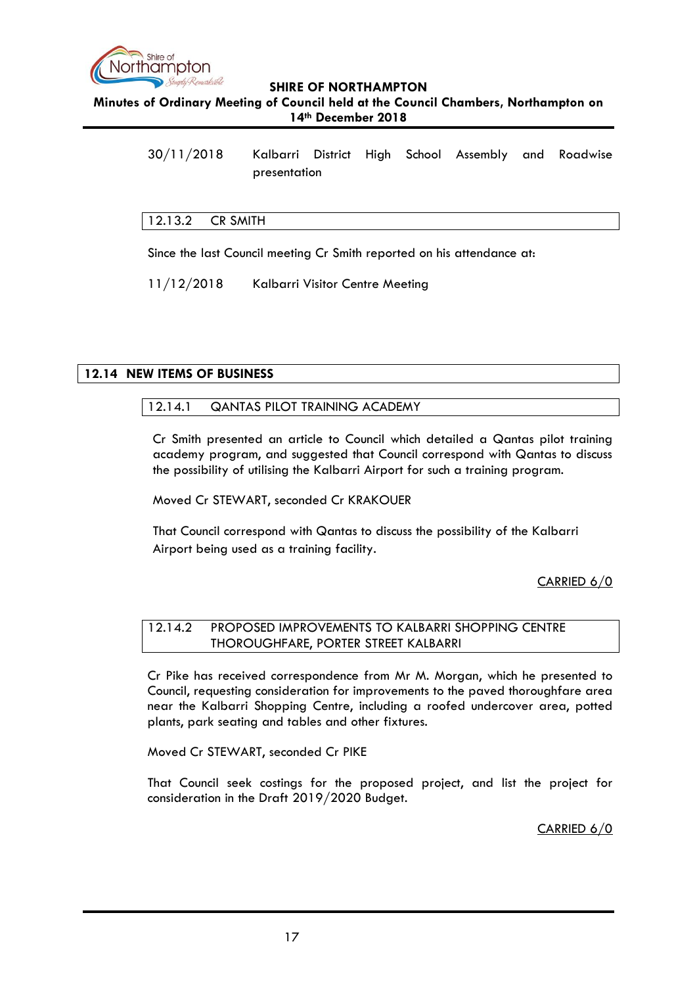

**Minutes of Ordinary Meeting of Council held at the Council Chambers, Northampton on 14th December 2018**

30/11/2018 Kalbarri District High School Assembly and Roadwise presentation

### <span id="page-16-0"></span>12.13.2 CR SMITH

Since the last Council meeting Cr Smith reported on his attendance at:

11/12/2018 Kalbarri Visitor Centre Meeting

### <span id="page-16-2"></span><span id="page-16-1"></span>**12.14 NEW ITEMS OF BUSINESS**

### 12.14.1 QANTAS PILOT TRAINING ACADEMY

Cr Smith presented an article to Council which detailed a Qantas pilot training academy program, and suggested that Council correspond with Qantas to discuss the possibility of utilising the Kalbarri Airport for such a training program.

Moved Cr STEWART, seconded Cr KRAKOUER

That Council correspond with Qantas to discuss the possibility of the Kalbarri Airport being used as a training facility.

CARRIED 6/0

## <span id="page-16-3"></span>12.14.2 PROPOSED IMPROVEMENTS TO KALBARRI SHOPPING CENTRE THOROUGHFARE, PORTER STREET KALBARRI

Cr Pike has received correspondence from Mr M. Morgan, which he presented to Council, requesting consideration for improvements to the paved thoroughfare area near the Kalbarri Shopping Centre, including a roofed undercover area, potted plants, park seating and tables and other fixtures.

Moved Cr STEWART, seconded Cr PIKE

That Council seek costings for the proposed project, and list the project for consideration in the Draft 2019/2020 Budget.

CARRIED 6/0